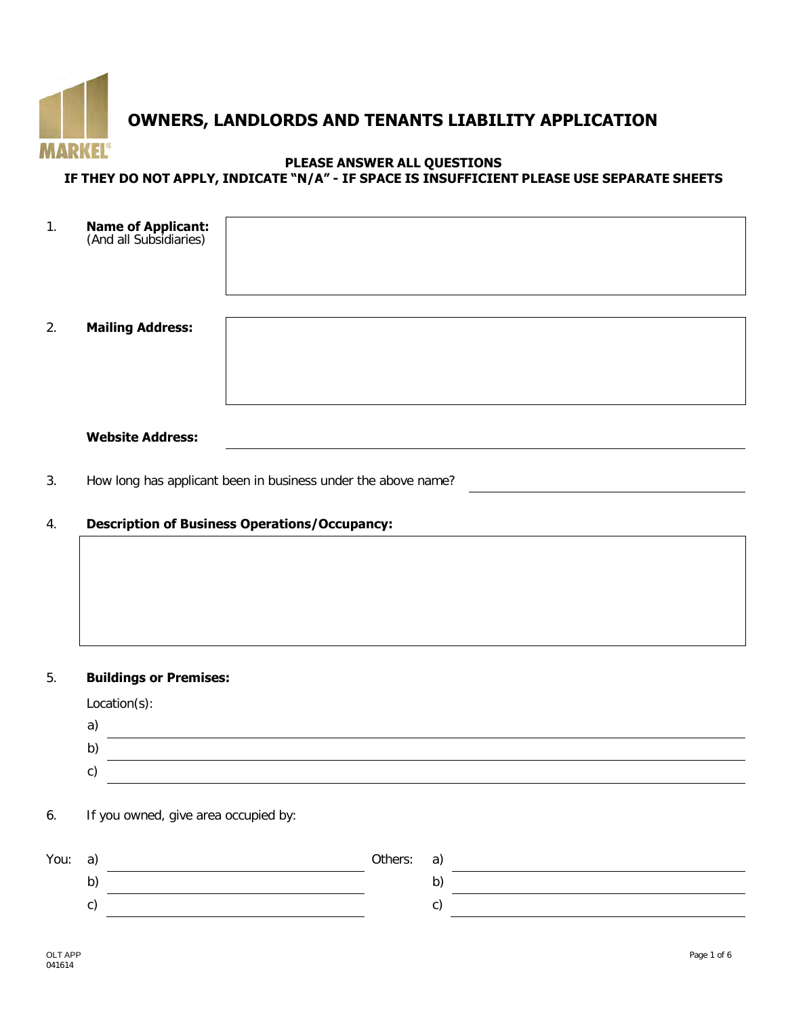

# **OWNERS, LANDLORDS AND TENANTS LIABILITY APPLICATION**

## **PLEASE ANSWER ALL QUESTIONS**

## **IF THEY DO NOT APPLY, INDICATE "N/A" - IF SPACE IS INSUFFICIENT PLEASE USE SEPARATE SHEETS**

| 1. | <b>Name of Applicant:</b><br>(And all Subsidiaries) |  |
|----|-----------------------------------------------------|--|
| 2. | <b>Mailing Address:</b>                             |  |
|    | <b>Website Address:</b>                             |  |

3. How long has applicant been in business under the above name?

## 4. **Description of Business Operations/Occupancy:**

#### 5. **Buildings or Premises:**

| $Location(s)$ : |  |
|-----------------|--|
|-----------------|--|

| ⌒<br>ι. |  |
|---------|--|
|         |  |
| ⌒<br>L. |  |

6. If you owned, give area occupied by:

| You: | a) | Others: | a)  |  |
|------|----|---------|-----|--|
|      | b) |         | י ט |  |
|      | U. |         |     |  |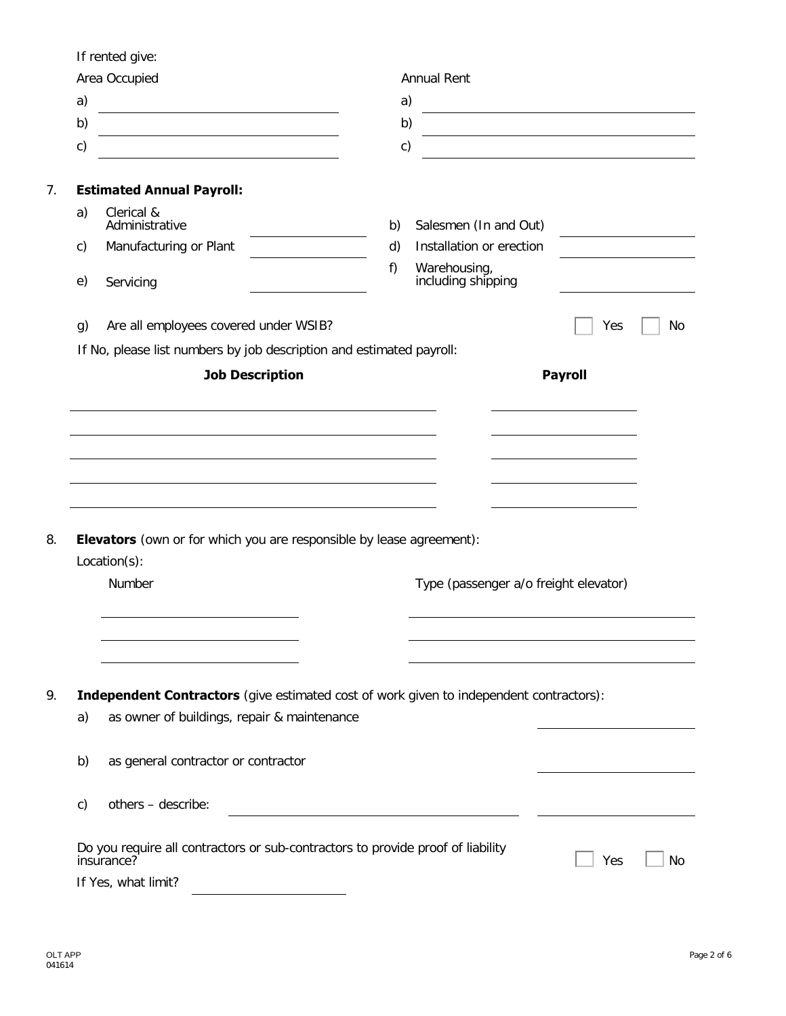If rented give:

|               | Area Occupied                                                                                                        |    | <b>Annual Rent</b>                 |                                                            |    |
|---------------|----------------------------------------------------------------------------------------------------------------------|----|------------------------------------|------------------------------------------------------------|----|
| a)            | <u> 1989 - Johann Stoff, Amerikaansk politiker (</u>                                                                 | a) |                                    |                                                            |    |
| b)            | <u> 1989 - Johann Barbara, martin amerikan basar dan basa dan basa dan basa dalam basa dalam basa dalam basa dan</u> | b) |                                    | <u> 1989 - John Stein, mars and de Brazilian (b. 1989)</u> |    |
| $\mathsf{c})$ |                                                                                                                      | c) |                                    |                                                            |    |
|               | <b>Estimated Annual Payroll:</b>                                                                                     |    |                                    |                                                            |    |
| a)            | Clerical &<br>Administrative                                                                                         | b) | Salesmen (In and Out)              |                                                            |    |
| $\mathsf{c}$  | Manufacturing or Plant                                                                                               | d) | Installation or erection           |                                                            |    |
| e)            | Servicing                                                                                                            | f) | Warehousing,<br>including shipping |                                                            |    |
| g)            | Are all employees covered under WSIB?                                                                                |    |                                    | Yes                                                        | No |
|               | If No, please list numbers by job description and estimated payroll:                                                 |    |                                    |                                                            |    |
|               | <b>Job Description</b>                                                                                               |    |                                    | <b>Payroll</b>                                             |    |
|               |                                                                                                                      |    |                                    |                                                            |    |
|               |                                                                                                                      |    |                                    |                                                            |    |
|               |                                                                                                                      |    |                                    |                                                            |    |
|               |                                                                                                                      |    |                                    |                                                            |    |
|               |                                                                                                                      |    |                                    |                                                            |    |
|               |                                                                                                                      |    |                                    |                                                            |    |
|               |                                                                                                                      |    |                                    |                                                            |    |
|               |                                                                                                                      |    |                                    |                                                            |    |
|               |                                                                                                                      |    |                                    |                                                            |    |
|               |                                                                                                                      |    |                                    |                                                            |    |
|               | <b>Elevators</b> (own or for which you are responsible by lease agreement):                                          |    |                                    |                                                            |    |
|               | Location(s):                                                                                                         |    |                                    |                                                            |    |
|               | Number                                                                                                               |    |                                    |                                                            |    |
|               |                                                                                                                      |    |                                    | Type (passenger a/o freight elevator)                      |    |
|               |                                                                                                                      |    |                                    |                                                            |    |
|               |                                                                                                                      |    |                                    |                                                            |    |
|               |                                                                                                                      |    |                                    |                                                            |    |
|               |                                                                                                                      |    |                                    |                                                            |    |
|               | Independent Contractors (give estimated cost of work given to independent contractors):                              |    |                                    |                                                            |    |
| a)            | as owner of buildings, repair & maintenance                                                                          |    |                                    |                                                            |    |
|               |                                                                                                                      |    |                                    |                                                            |    |
| b)            | as general contractor or contractor                                                                                  |    |                                    |                                                            |    |
| c)            | others - describe:                                                                                                   |    |                                    |                                                            |    |
|               | Do you require all contractors or sub-contractors to provide proof of liability                                      |    |                                    |                                                            |    |
|               | insurance?<br>If Yes, what limit?                                                                                    |    |                                    | Yes                                                        | No |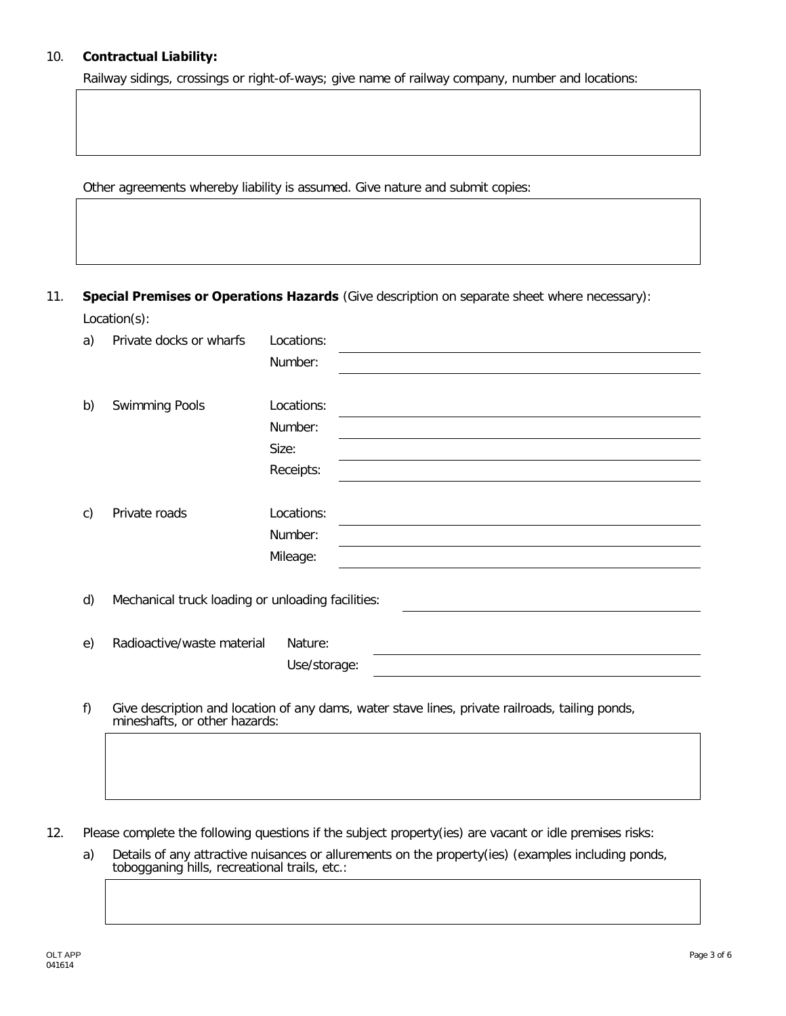## 10. **Contractual Liability:**

Railway sidings, crossings or right-of-ways; give name of railway company, number and locations:

Other agreements whereby liability is assumed. Give nature and submit copies:

11. **Special Premises or Operations Hazards** (Give description on separate sheet where necessary): Location(s):

| a) | Private docks or wharfs                                                                         | Locations:   |                                                                                                                                                                                                                               |                                                             |  |
|----|-------------------------------------------------------------------------------------------------|--------------|-------------------------------------------------------------------------------------------------------------------------------------------------------------------------------------------------------------------------------|-------------------------------------------------------------|--|
|    |                                                                                                 | Number:      |                                                                                                                                                                                                                               |                                                             |  |
|    |                                                                                                 |              |                                                                                                                                                                                                                               |                                                             |  |
| b) | <b>Swimming Pools</b>                                                                           | Locations:   |                                                                                                                                                                                                                               |                                                             |  |
|    |                                                                                                 | Number:      |                                                                                                                                                                                                                               |                                                             |  |
|    |                                                                                                 | Size:        | the control of the control of the control of the control of the control of the control of the control of the control of the control of the control of the control of the control of the control of the control of the control |                                                             |  |
|    |                                                                                                 | Receipts:    |                                                                                                                                                                                                                               |                                                             |  |
|    |                                                                                                 |              |                                                                                                                                                                                                                               |                                                             |  |
| c) | Private roads                                                                                   | Locations:   |                                                                                                                                                                                                                               |                                                             |  |
|    |                                                                                                 | Number:      |                                                                                                                                                                                                                               |                                                             |  |
|    |                                                                                                 | Mileage:     |                                                                                                                                                                                                                               | <u> 1989 - Andrea Stadt Britain, amerikansk politiker (</u> |  |
|    |                                                                                                 |              |                                                                                                                                                                                                                               |                                                             |  |
| d) | Mechanical truck loading or unloading facilities:                                               |              |                                                                                                                                                                                                                               |                                                             |  |
|    |                                                                                                 |              |                                                                                                                                                                                                                               |                                                             |  |
| e) | Radioactive/waste material                                                                      | Nature:      |                                                                                                                                                                                                                               |                                                             |  |
|    |                                                                                                 | Use/storage: |                                                                                                                                                                                                                               |                                                             |  |
|    |                                                                                                 |              |                                                                                                                                                                                                                               |                                                             |  |
| f) | Give description and location of any dams, water stave lines, private railroads, tailing ponds, |              |                                                                                                                                                                                                                               |                                                             |  |

f) Give description and location of any dams, water stave lines, private railroads, tailing ponds, mineshafts, or other hazards:

- 12. Please complete the following questions if the subject property(ies) are vacant or idle premises risks:
	- a) Details of any attractive nuisances or allurements on the property(ies) (examples including ponds, tobogganing hills, recreational trails, etc.: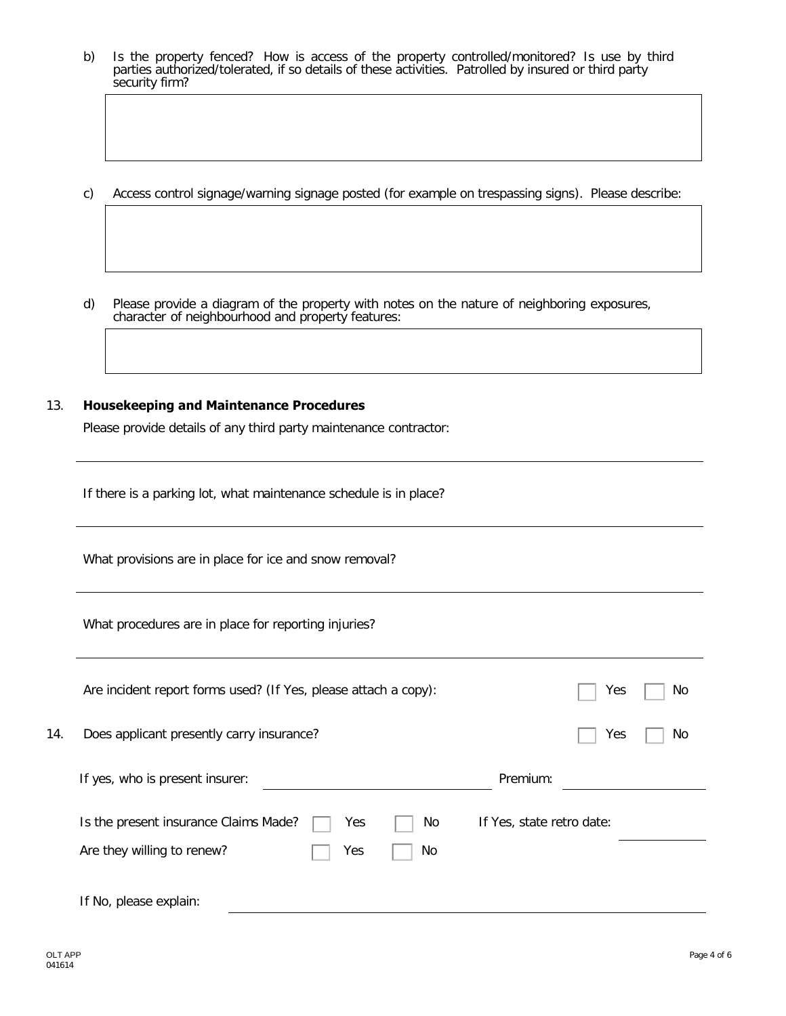- b) Is the property fenced? How is access of the property controlled/monitored? Is use by third parties authorized/tolerated, if so details of these activities. Patrolled by insured or third party security firm?
- c) Access control signage/warning signage posted (for example on trespassing signs). Please describe:
- d) Please provide a diagram of the property with notes on the nature of neighboring exposures, character of neighbourhood and property features:

#### 13. **Housekeeping and Maintenance Procedures**

Please provide details of any third party maintenance contractor:

If there is a parking lot, what maintenance schedule is in place?

What provisions are in place for ice and snow removal?

What procedures are in place for reporting injuries?

|     | Are incident report forms used? (If Yes, please attach a copy): | Yes<br>No.                |
|-----|-----------------------------------------------------------------|---------------------------|
| 14. | Does applicant presently carry insurance?                       | Yes<br>No                 |
|     | If yes, who is present insurer:                                 | Premium:                  |
|     | Is the present insurance Claims Made?<br>Yes<br>No.             | If Yes, state retro date: |
|     | Are they willing to renew?<br>Yes<br>No.                        |                           |
|     | If No, please explain:                                          |                           |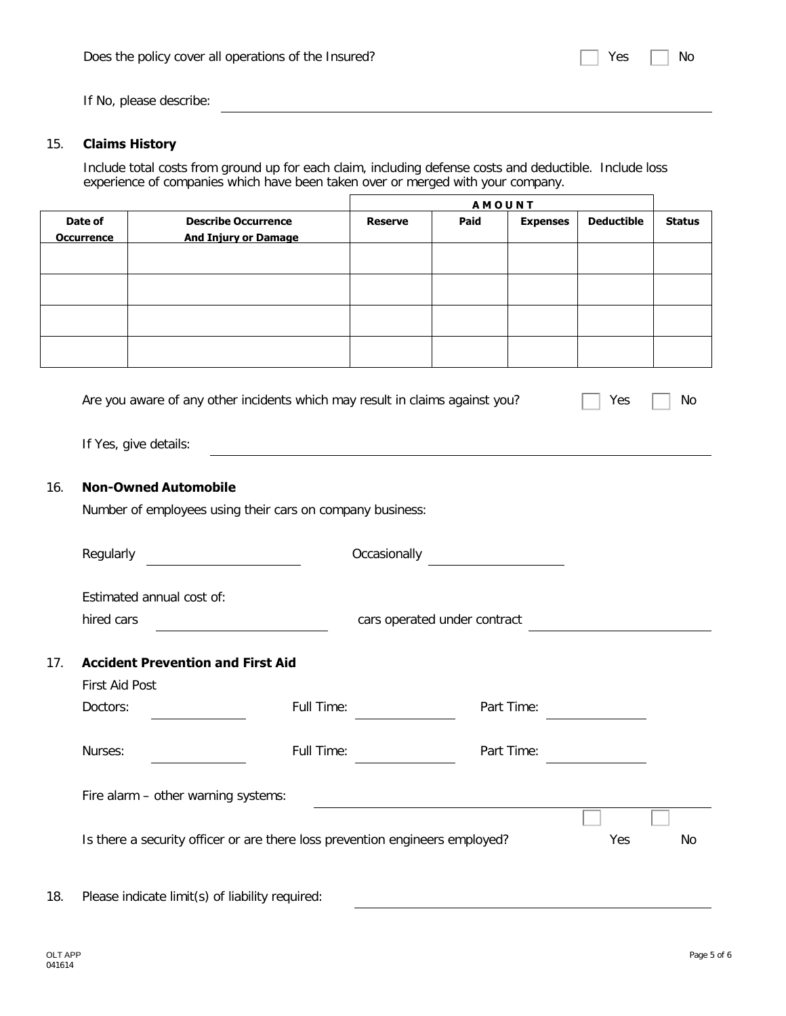If No, please describe:

#### 15. **Claims History**

Include total costs from ground up for each claim, including defense costs and deductible. Include loss experience of companies which have been taken over or merged with your company.

|                              |                                                           |                | <b>AMOUNT</b> |                 |                   |               |
|------------------------------|-----------------------------------------------------------|----------------|---------------|-----------------|-------------------|---------------|
| Date of<br><b>Occurrence</b> | <b>Describe Occurrence</b><br><b>And Injury or Damage</b> | <b>Reserve</b> | Paid          | <b>Expenses</b> | <b>Deductible</b> | <b>Status</b> |
|                              |                                                           |                |               |                 |                   |               |
|                              |                                                           |                |               |                 |                   |               |
|                              |                                                           |                |               |                 |                   |               |
|                              |                                                           |                |               |                 |                   |               |

| Are you aware of any other incidents which may result in claims against you? | $\Box$ Yes $\Box$ No |  |
|------------------------------------------------------------------------------|----------------------|--|
|                                                                              |                      |  |

If Yes, give details:

#### 16. **Non-Owned Automobile**

Number of employees using their cars on company business:

|     | Regularly                                                                    | Occasionally                 |            |     |    |
|-----|------------------------------------------------------------------------------|------------------------------|------------|-----|----|
|     | Estimated annual cost of:                                                    |                              |            |     |    |
|     | hired cars                                                                   | cars operated under contract |            |     |    |
| 17. | <b>Accident Prevention and First Aid</b>                                     |                              |            |     |    |
|     | First Aid Post                                                               |                              |            |     |    |
|     | Doctors:                                                                     | Full Time:                   | Part Time: |     |    |
|     | Nurses:                                                                      | Full Time:                   | Part Time: |     |    |
|     | Fire alarm - other warning systems:                                          |                              |            |     |    |
|     | Is there a security officer or are there loss prevention engineers employed? |                              |            | Yes | No |
| 18. | Please indicate limit(s) of liability required:                              |                              |            |     |    |